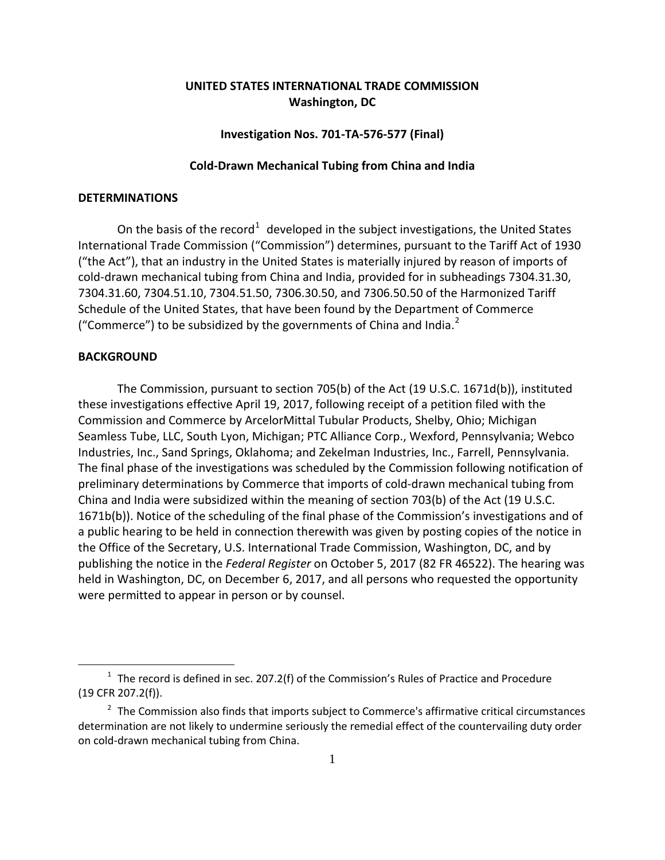# **UNITED STATES INTERNATIONAL TRADE COMMISSION Washington, DC**

# **Investigation Nos. 701-TA-576-577 (Final)**

# **Cold-Drawn Mechanical Tubing from China and India**

# **DETERMINATIONS**

On the basis of the record<sup>[1](#page-0-0)</sup> developed in the subject investigations, the United States International Trade Commission ("Commission") determines, pursuant to the Tariff Act of 1930 ("the Act"), that an industry in the United States is materially injured by reason of imports of cold-drawn mechanical tubing from China and India, provided for in subheadings 7304.31.30, 7304.31.60, 7304.51.10, 7304.51.50, 7306.30.50, and 7306.50.50 of the Harmonized Tariff Schedule of the United States, that have been found by the Department of Commerce ("Commerce") to be subsidized by the governments of China and India.<sup>[2](#page-0-1)</sup>

## **BACKGROUND**

 $\overline{a}$ 

The Commission, pursuant to section 705(b) of the Act (19 U.S.C. 1671d(b)), instituted these investigations effective April 19, 2017, following receipt of a petition filed with the Commission and Commerce by ArcelorMittal Tubular Products, Shelby, Ohio; Michigan Seamless Tube, LLC, South Lyon, Michigan; PTC Alliance Corp., Wexford, Pennsylvania; Webco Industries, Inc., Sand Springs, Oklahoma; and Zekelman Industries, Inc., Farrell, Pennsylvania. The final phase of the investigations was scheduled by the Commission following notification of preliminary determinations by Commerce that imports of cold-drawn mechanical tubing from China and India were subsidized within the meaning of section 703(b) of the Act (19 U.S.C. 1671b(b)). Notice of the scheduling of the final phase of the Commission's investigations and of a public hearing to be held in connection therewith was given by posting copies of the notice in the Office of the Secretary, U.S. International Trade Commission, Washington, DC, and by publishing the notice in the *Federal Register* on October 5, 2017 (82 FR 46522). The hearing was held in Washington, DC, on December 6, 2017, and all persons who requested the opportunity were permitted to appear in person or by counsel.

<span id="page-0-0"></span> $1$  The record is defined in sec. 207.2(f) of the Commission's Rules of Practice and Procedure (19 CFR 207.2(f)).

<span id="page-0-1"></span> $2$  The Commission also finds that imports subject to Commerce's affirmative critical circumstances determination are not likely to undermine seriously the remedial effect of the countervailing duty order on cold-drawn mechanical tubing from China.